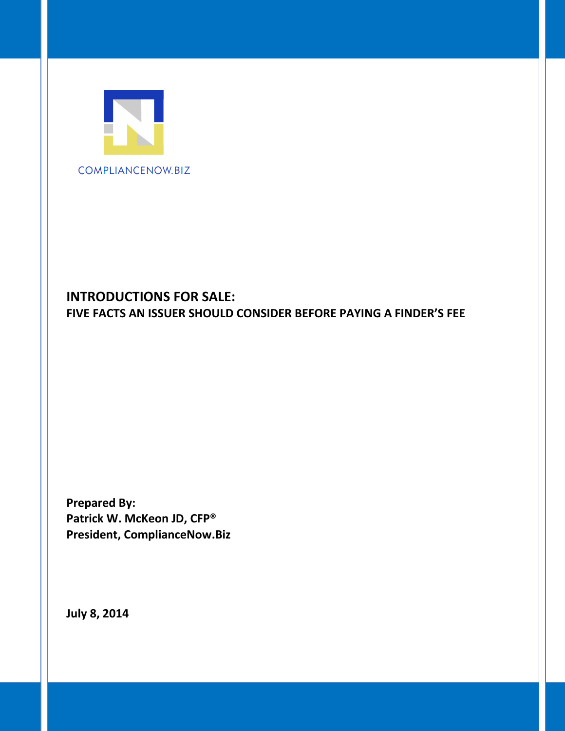

# **INTRODUCTIONS FOR SALE: FIVE FACTS AN ISSUER SHOULD CONSIDER BEFORE PAYING A FINDER'S FEE**

**Prepared By: Patrick W. McKeon JD, CFP® President, ComplianceNow.Biz**

**July 8, 2014**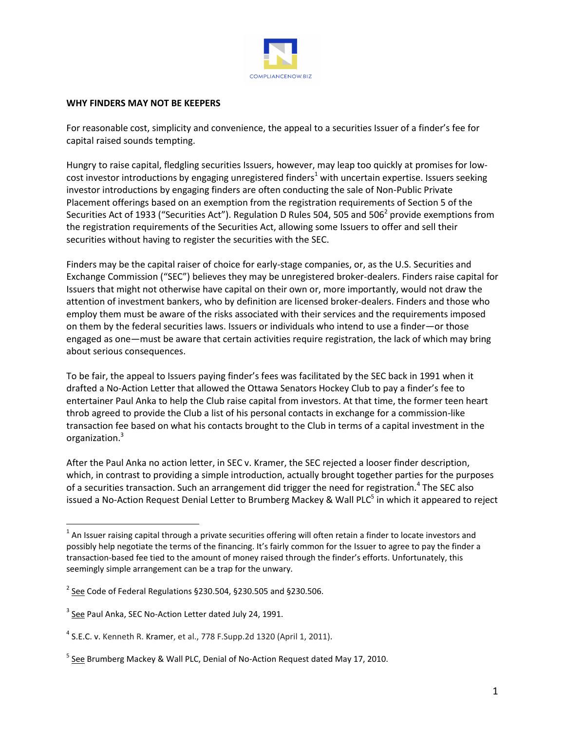

#### **WHY FINDERS MAY NOT BE KEEPERS**

For reasonable cost, simplicity and convenience, the appeal to a securities Issuer of a finder's fee for capital raised sounds tempting.

Hungry to raise capital, fledgling securities Issuers, however, may leap too quickly at promises for lowcost investor introductions by engaging unregistered finders<sup>1</sup> with uncertain expertise. Issuers seeking investor introductions by engaging finders are often conducting the sale of Non-Public Private Placement offerings based on an exemption from the registration requirements of Section 5 of the Securities Act of 1933 ("Securities Act"). Regulation D Rules 504, 505 and 506<sup>2</sup> provide exemptions from the registration requirements of the Securities Act, allowing some Issuers to offer and sell their securities without having to register the securities with the SEC.

Finders may be the capital raiser of choice for early-stage companies, or, as the U.S. Securities and Exchange Commission ("SEC") believes they may be unregistered broker-dealers. Finders raise capital for Issuers that might not otherwise have capital on their own or, more importantly, would not draw the attention of investment bankers, who by definition are licensed broker-dealers. Finders and those who employ them must be aware of the risks associated with their services and the requirements imposed on them by the federal securities laws. Issuers or individuals who intend to use a finder—or those engaged as one—must be aware that certain activities require registration, the lack of which may bring about serious consequences.

To be fair, the appeal to Issuers paying finder's fees was facilitated by the SEC back in 1991 when it drafted a No-Action Letter that allowed the Ottawa Senators Hockey Club to pay a finder's fee to entertainer Paul Anka to help the Club raise capital from investors. At that time, the former teen heart throb agreed to provide the Club a list of his personal contacts in exchange for a commission-like transaction fee based on what his contacts brought to the Club in terms of a capital investment in the organization. 3

After the Paul Anka no action letter, in SEC v. Kramer, the SEC rejected a looser finder description, which, in contrast to providing a simple introduction, actually brought together parties for the purposes of a securities transaction. Such an arrangement did trigger the need for registration.<sup>4</sup> The SEC also issued a No-Action Request Denial Letter to Brumberg Mackey & Wall PLC<sup>5</sup> in which it appeared to reject

 $\overline{\phantom{a}}$ 

 $^1$  An Issuer raising capital through a private securities offering will often retain a finder to locate investors and possibly help negotiate the terms of the financing. It's fairly common for the Issuer to agree to pay the finder a transaction-based fee tied to the amount of money raised through the finder's efforts. Unfortunately, this seemingly simple arrangement can be a trap for the unwary.

 $^2$  See Code of Federal Regulations §230.504, §230.505 and §230.506.

<sup>&</sup>lt;sup>3</sup> See Paul Anka, SEC No-Action Letter dated July 24, 1991.

<sup>&</sup>lt;sup>4</sup> S.E.C. v. Kenneth R. Kramer, et al., 778 F. Supp. 2d 1320 (April 1, 2011).

<sup>&</sup>lt;sup>5</sup> See Brumberg Mackey & Wall PLC, Denial of No-Action Request dated May 17, 2010.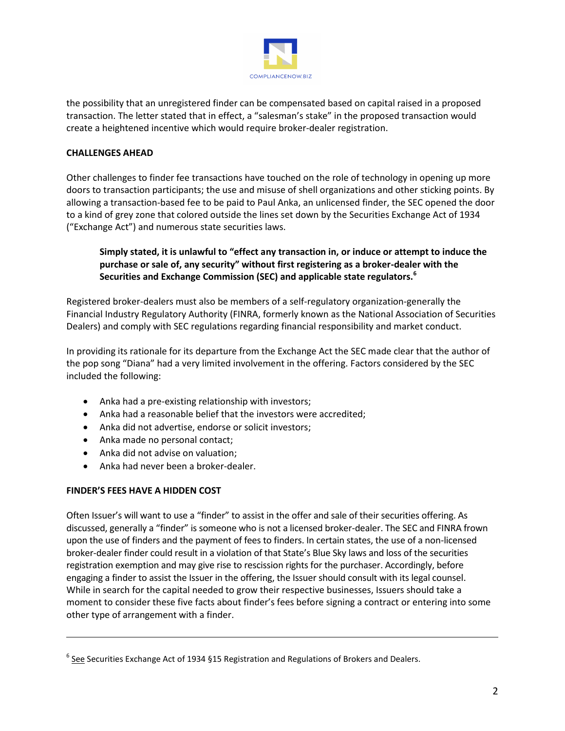

the possibility that an unregistered finder can be compensated based on capital raised in a proposed transaction. The letter stated that in effect, a "salesman's stake" in the proposed transaction would create a heightened incentive which would require broker-dealer registration.

#### **CHALLENGES AHEAD**

Other challenges to finder fee transactions have touched on the role of technology in opening up more doors to transaction participants; the use and misuse of shell organizations and other sticking points. By allowing a transaction-based fee to be paid to Paul Anka, an unlicensed finder, the SEC opened the door to a kind of grey zone that colored outside the lines set down by the Securities Exchange Act of 1934 ("Exchange Act") and numerous state securities laws.

## **Simply stated, it is unlawful to "effect any transaction in, or induce or attempt to induce the purchase or sale of, any security" without first registering as a broker-dealer with the Securities and Exchange Commission (SEC) and applicable state regulators.<sup>6</sup>**

Registered broker-dealers must also be members of a self-regulatory organization-generally the Financial Industry Regulatory Authority (FINRA, formerly known as the National Association of Securities Dealers) and comply with SEC regulations regarding financial responsibility and market conduct.

In providing its rationale for its departure from the Exchange Act the SEC made clear that the author of the pop song "Diana" had a very limited involvement in the offering. Factors considered by the SEC included the following:

- Anka had a pre-existing relationship with investors;
- Anka had a reasonable belief that the investors were accredited;
- Anka did not advertise, endorse or solicit investors;
- Anka made no personal contact;
- Anka did not advise on valuation;
- Anka had never been a broker-dealer.

#### **FINDER'S FEES HAVE A HIDDEN COST**

l

Often Issuer's will want to use a "finder" to assist in the offer and sale of their securities offering. As discussed, generally a "finder" is someone who is not a licensed broker-dealer. The SEC and FINRA frown upon the use of finders and the payment of fees to finders. In certain states, the use of a non-licensed broker-dealer finder could result in a violation of that State's Blue Sky laws and loss of the securities registration exemption and may give rise to rescission rights for the purchaser. Accordingly, before engaging a finder to assist the Issuer in the offering, the Issuer should consult with its legal counsel. While in search for the capital needed to grow their respective businesses, Issuers should take a moment to consider these five facts about finder's fees before signing a contract or entering into some other type of arrangement with a finder.

<sup>&</sup>lt;sup>6</sup> See Securities Exchange Act of 1934 §15 Registration and Regulations of Brokers and Dealers.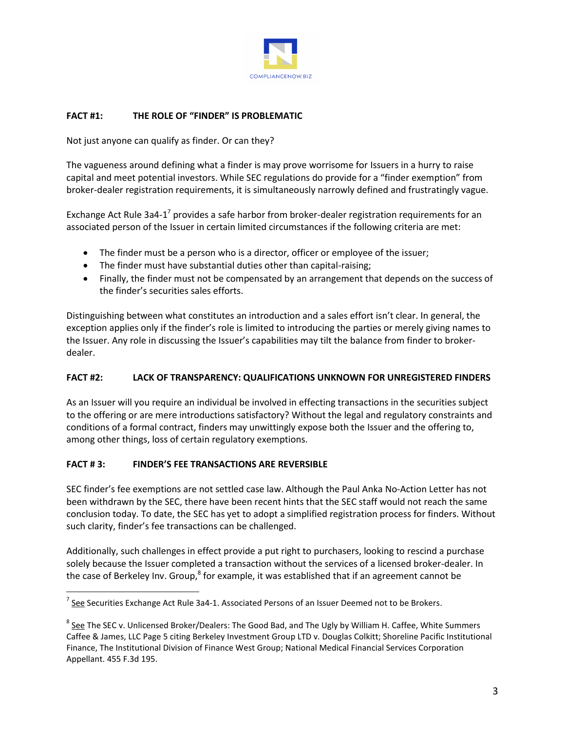

#### **FACT #1: THE ROLE OF "FINDER" IS PROBLEMATIC**

Not just anyone can qualify as finder. Or can they?

The vagueness around defining what a finder is may prove worrisome for Issuers in a hurry to raise capital and meet potential investors. While SEC regulations do provide for a "finder exemption" from broker-dealer registration requirements, it is simultaneously narrowly defined and frustratingly vague.

Exchange Act Rule 3a4-1<sup>7</sup> provides a safe harbor from broker-dealer registration requirements for an associated person of the Issuer in certain limited circumstances if the following criteria are met:

- The finder must be a person who is a director, officer or employee of the issuer;
- The finder must have substantial duties other than capital-raising;
- Finally, the finder must not be compensated by an arrangement that depends on the success of the finder's securities sales efforts.

Distinguishing between what constitutes an introduction and a sales effort isn't clear. In general, the exception applies only if the finder's role is limited to introducing the parties or merely giving names to the Issuer. Any role in discussing the Issuer's capabilities may tilt the balance from finder to brokerdealer.

#### **FACT #2: LACK OF TRANSPARENCY: QUALIFICATIONS UNKNOWN FOR UNREGISTERED FINDERS**

As an Issuer will you require an individual be involved in effecting transactions in the securities subject to the offering or are mere introductions satisfactory? Without the legal and regulatory constraints and conditions of a formal contract, finders may unwittingly expose both the Issuer and the offering to, among other things, loss of certain regulatory exemptions.

#### **FACT # 3: FINDER'S FEE TRANSACTIONS ARE REVERSIBLE**

 $\overline{a}$ 

SEC finder's fee exemptions are not settled case law. Although the Paul Anka No-Action Letter has not been withdrawn by the SEC, there have been recent hints that the SEC staff would not reach the same conclusion today. To date, the SEC has yet to adopt a simplified registration process for finders. Without such clarity, finder's fee transactions can be challenged.

Additionally, such challenges in effect provide a put right to purchasers, looking to rescind a purchase solely because the Issuer completed a transaction without the services of a licensed broker-dealer. In the case of Berkeley Inv. Group, $^8$  for example, it was established that if an agreement cannot be

<sup>&</sup>lt;sup>7</sup> See Securities Exchange Act Rule 3a4-1. Associated Persons of an Issuer Deemed not to be Brokers.

<sup>&</sup>lt;sup>8</sup> See The SEC v. Unlicensed Broker/Dealers: The Good Bad, and The Ugly by William H. Caffee, White Summers Caffee & James, LLC Page 5 citing Berkeley Investment Group LTD v. Douglas Colkitt; Shoreline Pacific Institutional Finance, The Institutional Division of Finance West Group; National Medical Financial Services Corporation Appellant. 455 F.3d 195.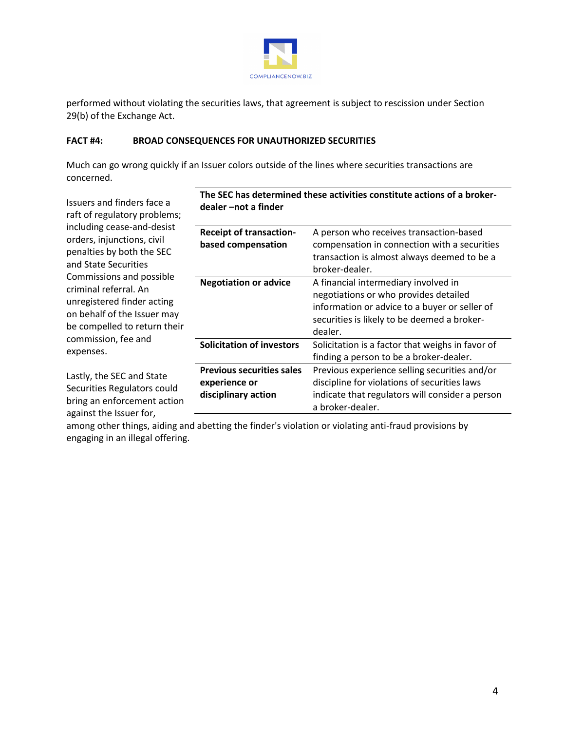

performed without violating the securities laws, that agreement is subject to rescission under Section 29(b) of the Exchange Act.

#### **FACT #4: BROAD CONSEQUENCES FOR UNAUTHORIZED SECURITIES**

Much can go wrong quickly if an Issuer colors outside of the lines where securities transactions are concerned.

Issuers and finders face a raft of regulatory problems; including cease-and-desist orders, injunctions, civil penalties by both the SEC and State Securities Commissions and possible criminal referral. An unregistered finder acting on behalf of the Issuer may be compelled to return their commission, fee and expenses. Lastly, the SEC and State Securities Regulators could bring an enforcement action **dealer –not a finder Receipt of transactionbased compensation** A person who receives transaction-based compensation in connection with a securities transaction is almost always deemed to be a broker-dealer. **Negotiation or advice** A financial intermediary involved in negotiations or who provides detailed information or advice to a buyer or seller of securities is likely to be deemed a brokerdealer. **Solicitation of investors** Solicitation is a factor that weighs in favor of finding a person to be a broker-dealer. **Previous securities sales experience or disciplinary action** Previous experience selling securities and/or discipline for violations of securities laws indicate that regulators will consider a person

among other things, aiding and abetting the finder's violation or violating anti-fraud provisions by engaging in an illegal offering.

against the Issuer for,

| The SEC has determined these activities constitute actions of a broker- |
|-------------------------------------------------------------------------|
| dealer –not a finder                                                    |

a broker-dealer.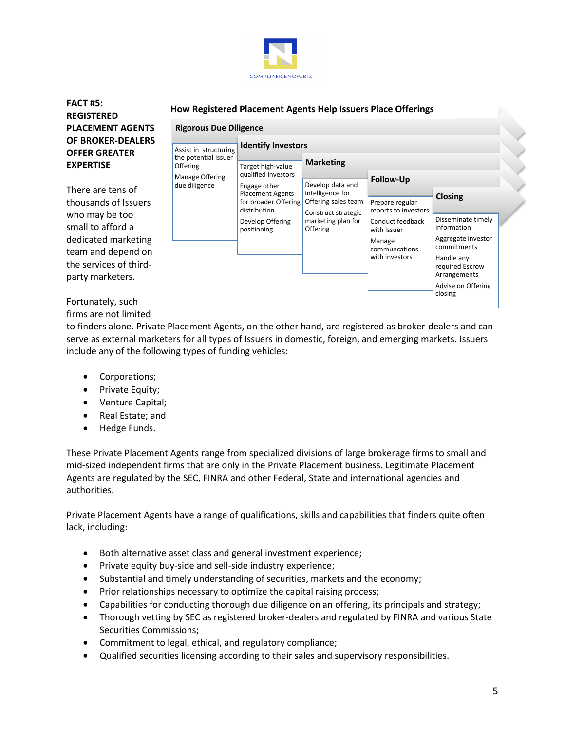

## FACT #5:<br>
How Registered Placement Agents Help Issuers Place Offerings **REGISTERED PLACEMENT AGENTS OF BROKER-DEALERS OFFER GREATER EXPERTISE**

There are tens of thousands of Issuers who may be too small to afford a dedicated marketing team and depend on the services of thirdparty marketers.



# Fortunately, such

firms are not limited

to finders alone. Private Placement Agents, on the other hand, are registered as broker-dealers and can serve as external marketers for all types of Issuers in domestic, foreign, and emerging markets. Issuers include any of the following types of funding vehicles:

- Corporations;
- Private Equity;
- Venture Capital;
- Real Estate; and
- Hedge Funds.

These Private Placement Agents range from specialized divisions of large brokerage firms to small and mid-sized independent firms that are only in the Private Placement business. Legitimate Placement Agents are regulated by the SEC, FINRA and other Federal, State and international agencies and authorities.

Private Placement Agents have a range of qualifications, skills and capabilities that finders quite often lack, including:

- Both alternative asset class and general investment experience;
- Private equity buy-side and sell-side industry experience;
- Substantial and timely understanding of securities, markets and the economy;
- Prior relationships necessary to optimize the capital raising process;
- Capabilities for conducting thorough due diligence on an offering, its principals and strategy;
- Thorough vetting by SEC as registered broker-dealers and regulated by FINRA and various State Securities Commissions;
- Commitment to legal, ethical, and regulatory compliance;
- Qualified securities licensing according to their sales and supervisory responsibilities.